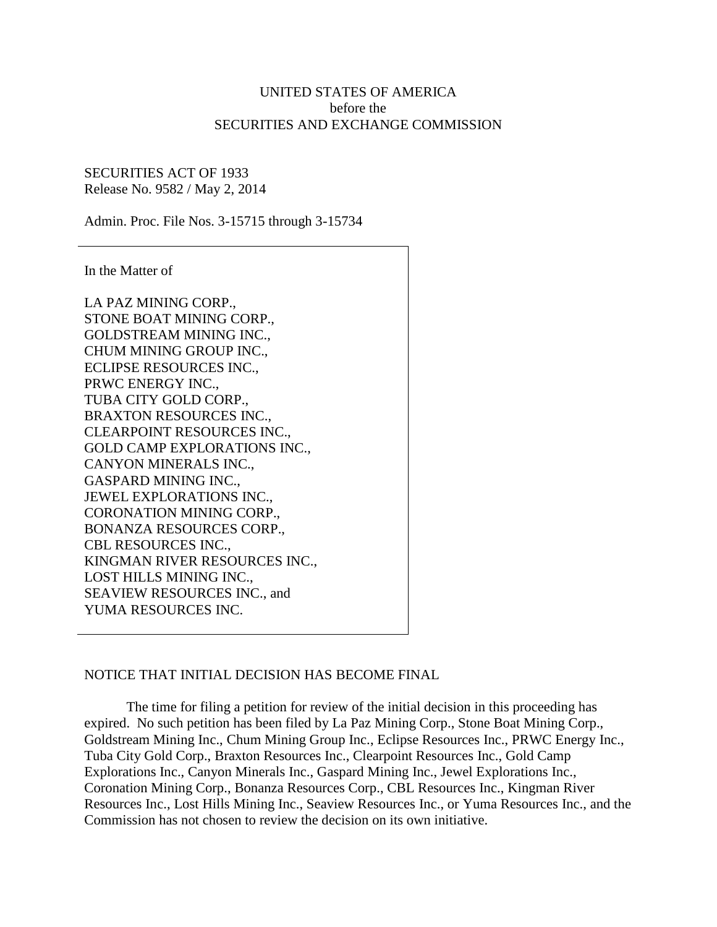## UNITED STATES OF AMERICA before the SECURITIES AND EXCHANGE COMMISSION

## SECURITIES ACT OF 1933 Release No. 9582 / May 2, 2014

Admin. Proc. File Nos. 3-15715 through 3-15734

In the Matter of

LA PAZ MINING CORP., STONE BOAT MINING CORP., GOLDSTREAM MINING INC., CHUM MINING GROUP INC., ECLIPSE RESOURCES INC., PRWC ENERGY INC., TUBA CITY GOLD CORP., BRAXTON RESOURCES INC., CLEARPOINT RESOURCES INC., GOLD CAMP EXPLORATIONS INC., CANYON MINERALS INC., GASPARD MINING INC., JEWEL EXPLORATIONS INC., CORONATION MINING CORP., BONANZA RESOURCES CORP., CBL RESOURCES INC., KINGMAN RIVER RESOURCES INC., LOST HILLS MINING INC., SEAVIEW RESOURCES INC., and YUMA RESOURCES INC.

## NOTICE THAT INITIAL DECISION HAS BECOME FINAL

The time for filing a petition for review of the initial decision in this proceeding has expired. No such petition has been filed by La Paz Mining Corp., Stone Boat Mining Corp., Goldstream Mining Inc., Chum Mining Group Inc., Eclipse Resources Inc., PRWC Energy Inc., Tuba City Gold Corp., Braxton Resources Inc., Clearpoint Resources Inc., Gold Camp Explorations Inc., Canyon Minerals Inc., Gaspard Mining Inc., Jewel Explorations Inc., Coronation Mining Corp., Bonanza Resources Corp., CBL Resources Inc., Kingman River Resources Inc., Lost Hills Mining Inc., Seaview Resources Inc., or Yuma Resources Inc., and the Commission has not chosen to review the decision on its own initiative.